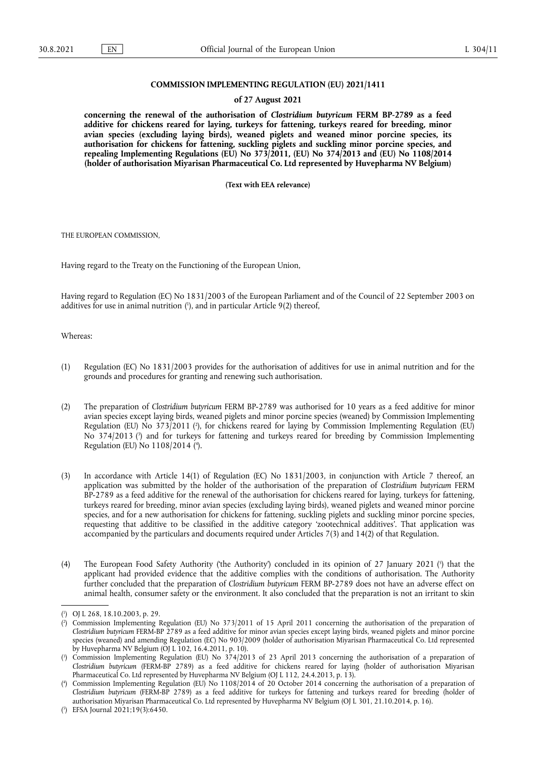# **COMMISSION IMPLEMENTING REGULATION (EU) 2021/1411**

### **of 27 August 2021**

**concerning the renewal of the authorisation of** *Clostridium butyricum* **FERM BP-2789 as a feed additive for chickens reared for laying, turkeys for fattening, turkeys reared for breeding, minor avian species (excluding laying birds), weaned piglets and weaned minor porcine species, its authorisation for chickens for fattening, suckling piglets and suckling minor porcine species, and repealing Implementing Regulations (EU) No 373/2011, (EU) No 374/2013 and (EU) No 1108/2014 (holder of authorisation Miyarisan Pharmaceutical Co. Ltd represented by Huvepharma NV Belgium)** 

**(Text with EEA relevance)** 

THE EUROPEAN COMMISSION,

Having regard to the Treaty on the Functioning of the European Union,

<span id="page-0-5"></span>Having regard to Regulation (EC) No 1831/2003 of the European Parliament and of the Council of 22 September 2003 on additives for use in animal nutrition ( 1 [\),](#page-0-0) and in particular Article 9(2) thereof,

### Whereas:

- (1) Regulation (EC) No 1831/2003 provides for the authorisation of additives for use in animal nutrition and for the grounds and procedures for granting and renewing such authorisation.
- <span id="page-0-7"></span><span id="page-0-6"></span>(2) The preparation of *Clostridium butyricum* FERM BP-2789 was authorised for 10 years as a feed additive for minor avian species except laying birds, weaned piglets and minor porcine species (weaned) by Commission Implementing Regulation (EU) No 373/2011 ( 2 [\),](#page-0-1) for chickens reared for laying by Commission Implementing Regulation (EU) No 374/2013 [\(](#page-0-2) 3 ) and for turkeys for fattening and turkeys reared for breeding by Commission Implementing Regulation (EU) No 1108/2014 [\(](#page-0-3) 4 ).
- <span id="page-0-8"></span>(3) In accordance with Article 14(1) of Regulation (EC) No 1831/2003, in conjunction with Article 7 thereof, an application was submitted by the holder of the authorisation of the preparation of *Clostridium butyricum* FERM BP-2789 as a feed additive for the renewal of the authorisation for chickens reared for laying, turkeys for fattening, turkeys reared for breeding, minor avian species (excluding laying birds), weaned piglets and weaned minor porcine species, and for a new authorisation for chickens for fattening, suckling piglets and suckling minor porcine species, requesting that additive to be classified in the additive category 'zootechnical additives'. That application was accompanied by the particulars and documents required under Articles 7(3) and 14(2) of that Regulation.
- <span id="page-0-9"></span>[\(](#page-0-4)4) The European Food Safety Authority ('the Authority') concluded in its opinion of 27 January 2021 (<sup>5</sup>) that the applicant had provided evidence that the additive complies with the conditions of authorisation. The Authority further concluded that the preparation of *Clostridium butyricum* FERM BP-2789 does not have an adverse effect on animal health, consumer safety or the environment. It also concluded that the preparation is not an irritant to skin

<span id="page-0-0"></span>[<sup>\(</sup>](#page-0-5) 1 ) OJ L 268, 18.10.2003, p. 29.

<span id="page-0-1"></span>[<sup>\(</sup>](#page-0-6) 2 ) Commission Implementing Regulation (EU) No 373/2011 of 15 April 2011 concerning the authorisation of the preparation of *Clostridium butyricum* FERM-BP 2789 as a feed additive for minor avian species except laying birds, weaned piglets and minor porcine species (weaned) and amending Regulation (EC) No 903/2009 (holder of authorisation Miyarisan Pharmaceutical Co. Ltd represented by Huvepharma NV Belgium (OJ L 102, 16.4.2011, p. 10).

<span id="page-0-2"></span>[<sup>\(</sup>](#page-0-7) 3 ) Commission Implementing Regulation (EU) No 374/2013 of 23 April 2013 concerning the authorisation of a preparation of *Clostridium butyricum* (FERM-BP 2789) as a feed additive for chickens reared for laying (holder of authorisation Miyarisan Pharmaceutical Co. Ltd represented by Huvepharma NV Belgium (OJ L 112, 24.4.2013, p. 13).

<span id="page-0-3"></span>[<sup>\(</sup>](#page-0-8) 4 ) Commission Implementing Regulation (EU) No 1108/2014 of 20 October 2014 concerning the authorisation of a preparation of *Clostridium butyricum* (FERM-BP 2789) as a feed additive for turkeys for fattening and turkeys reared for breeding (holder of authorisation Miyarisan Pharmaceutical Co. Ltd represented by Huvepharma NV Belgium (OJ L 301, 21.10.2014, p. 16).

<span id="page-0-4"></span><sup>(</sup> 5 [\)](#page-0-9) EFSA Journal 2021;19(3):6450.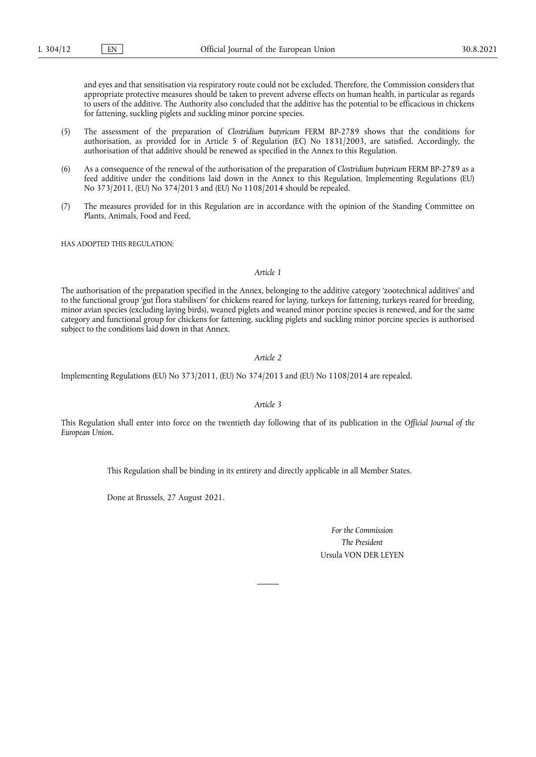and eyes and that sensitisation via respiratory route could not be excluded. Therefore, the Commission considers that appropriate protective measures should be taken to prevent adverse effects on human health, in particular as regards to users of the additive. The Authority also concluded that the additive has the potential to be efficacious in chickens for fattening, suckling piglets and suckling minor porcine species.

- (5) The assessment of the preparation of *Clostridium butyricum* FERM BP-2789 shows that the conditions for authorisation, as provided for in Article 5 of Regulation (EC) No 1831/2003, are satisfied. Accordingly, the authorisation of that additive should be renewed as specified in the Annex to this Regulation.
- (6) As a consequence of the renewal of the authorisation of the preparation of *Clostridium butyricum* FERM BP-2789 as a feed additive under the conditions laid down in the Annex to this Regulation, Implementing Regulations (EU) No 373/2011, (EU) No 374/2013 and (EU) No 1108/2014 should be repealed.
- (7) The measures provided for in this Regulation are in accordance with the opinion of the Standing Committee on Plants, Animals, Food and Feed,

HAS ADOPTED THIS REGULATION:

# *Article 1*

The authorisation of the preparation specified in the Annex, belonging to the additive category 'zootechnical additives' and to the functional group 'gut flora stabilisers' for chickens reared for laying, turkeys for fattening, turkeys reared for breeding, minor avian species (excluding laying birds), weaned piglets and weaned minor porcine species is renewed, and for the same category and functional group for chickens for fattening, suckling piglets and suckling minor porcine species is authorised subject to the conditions laid down in that Annex.

*Article 2*

Implementing Regulations (EU) No 373/2011, (EU) No 374/2013 and (EU) No 1108/2014 are repealed.

## *Article 3*

This Regulation shall enter into force on the twentieth day following that of its publication in the *Official Journal of the European Union.*

This Regulation shall be binding in its entirety and directly applicable in all Member States.

Done at Brussels, 27 August 2021.

*For the Commission The President* Ursula VON DER LEYEN